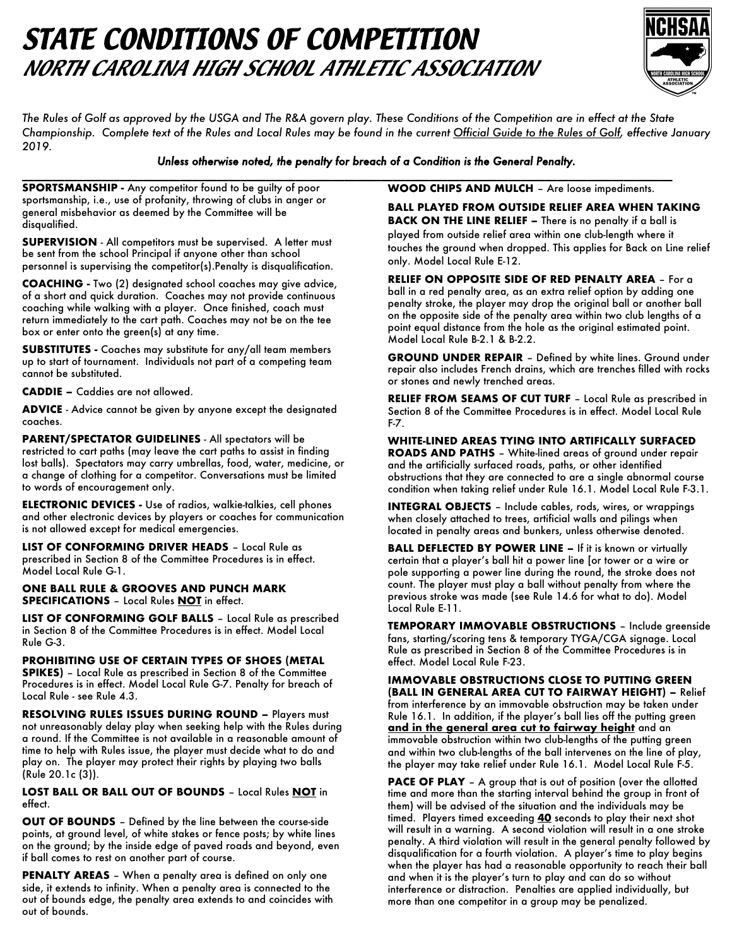# *STATE CONDITIONS OF COMPETITION NORTH CAROLINA HIGH SCHOOL ATHLETIC ASSOCIATION*



*The Rules of Golf as approved by the USGA and The R&A govern play. These Conditions of the Competition are in effect at the State Championship. Complete text of the Rules and Local Rules may be found in the current Official Guide to the Rules of Golf, effective January 2019.*

#### *Unless otherwise noted, the penalty for breach of a Condition is the General Penalty.*

**\_\_\_\_\_\_\_\_\_\_\_\_\_\_\_\_\_\_\_\_\_\_\_\_\_\_\_\_\_\_\_\_\_\_\_\_\_\_\_\_\_\_\_\_\_\_\_\_\_\_\_\_\_\_\_\_\_\_\_\_\_\_\_\_\_\_\_\_\_\_\_\_\_\_\_\_\_\_\_\_\_\_\_\_\_\_\_\_\_\_\_\_\_\_\_\_\_\_\_\_\_\_\_\_\_\_\_ SPORTSMANSHIP -** Any competitor found to be guilty of poor sportsmanship, i.e., use of profanity, throwing of clubs in anger or general misbehavior as deemed by the Committee will be disqualified.

**SUPERVISION** - All competitors must be supervised. A letter must be sent from the school Principal if anyone other than school personnel is supervising the competitor(s).Penalty is disqualification.

**COACHING -** Two (2) designated school coaches may give advice, of a short and quick duration. Coaches may not provide continuous coaching while walking with a player. Once finished, coach must return immediately to the cart path. Coaches may not be on the tee box or enter onto the green(s) at any time.

**SUBSTITUTES -** Coaches may substitute for any/all team members up to start of tournament. Individuals not part of a competing team cannot be substituted.

**CADDIE –** Caddies are not allowed.

**ADVICE** - Advice cannot be given by anyone except the designated coaches.

**PARENT/SPECTATOR GUIDELINES** - All spectators will be restricted to cart paths (may leave the cart paths to assist in finding lost balls). Spectators may carry umbrellas, food, water, medicine, or a change of clothing for a competitor. Conversations must be limited to words of encouragement only.

**ELECTRONIC DEVICES -** Use of radios, walkie-talkies, cell phones and other electronic devices by players or coaches for communication is not allowed except for medical emergencies.

**LIST OF CONFORMING DRIVER HEADS** – Local Rule as prescribed in Section 8 of the Committee Procedures is in effect. Model Local Rule G-1.

**ONE BALL RULE & GROOVES AND PUNCH MARK SPECIFICATIONS** – Local Rules **NOT** in effect.

**LIST OF CONFORMING GOLF BALLS** – Local Rule as prescribed in Section 8 of the Committee Procedures is in effect. Model Local Rule G-3.

**PROHIBITING USE OF CERTAIN TYPES OF SHOES (METAL SPIKES)** – Local Rule as prescribed in Section 8 of the Committee Procedures is in effect. Model Local Rule G-7. Penalty for breach of Local Rule - see Rule 4.3.

**RESOLVING RULES ISSUES DURING ROUND –** Players must not unreasonably delay play when seeking help with the Rules during a round. If the Committee is not available in a reasonable amount of time to help with Rules issue, the player must decide what to do and play on. The player may protect their rights by playing two balls (Rule 20.1c (3)).

#### **LOST BALL OR BALL OUT OF BOUNDS** – Local Rules **NOT** in effect.

**OUT OF BOUNDS** – Defined by the line between the course-side points, at ground level, of white stakes or fence posts; by white lines on the ground; by the inside edge of paved roads and beyond, even if ball comes to rest on another part of course.

**PENALTY AREAS** – When a penalty area is defined on only one side, it extends to infinity. When a penalty area is connected to the out of bounds edge, the penalty area extends to and coincides with out of bounds.

**WOOD CHIPS AND MULCH** – Are loose impediments.

**BALL PLAYED FROM OUTSIDE RELIEF AREA WHEN TAKING BACK ON THE LINE RELIEF -** There is no penalty if a ball is played from outside relief area within one club-length where it touches the ground when dropped. This applies for Back on Line relief only. Model Local Rule E-12.

**RELIEF ON OPPOSITE SIDE OF RED PENALTY AREA** – For a ball in a red penalty area, as an extra relief option by adding one penalty stroke, the player may drop the original ball or another ball on the opposite side of the penalty area within two club lengths of a point equal distance from the hole as the original estimated point. Model Local Rule B-2.1 & B-2.2.

**GROUND UNDER REPAIR** – Defined by white lines. Ground under repair also includes French drains, which are trenches filled with rocks or stones and newly trenched areas.

**RELIEF FROM SEAMS OF CUT TURF** – Local Rule as prescribed in Section 8 of the Committee Procedures is in effect. Model Local Rule F-7.

**WHITE-LINED AREAS TYING INTO ARTIFICALLY SURFACED ROADS AND PATHS** – White-lined areas of ground under repair and the artificially surfaced roads, paths, or other identified obstructions that they are connected to are a single abnormal course condition when taking relief under Rule 16.1. Model Local Rule F-3.1.

**INTEGRAL OBJECTS** – Include cables, rods, wires, or wrappings when closely attached to trees, artificial walls and pilings when located in penalty areas and bunkers, unless otherwise denoted.

**BALL DEFLECTED BY POWER LINE –** If it is known or virtually certain that a player's ball hit a power line [or tower or a wire or pole supporting a power line during the round, the stroke does not count. The player must play a ball without penalty from where the previous stroke was made (see Rule 14.6 for what to do). Model Local Rule E-11.

**TEMPORARY IMMOVABLE OBSTRUCTIONS** – Include greenside fans, starting/scoring tens & temporary TYGA/CGA signage. Local Rule as prescribed in Section 8 of the Committee Procedures is in effect. Model Local Rule F-23.

**IMMOVABLE OBSTRUCTIONS CLOSE TO PUTTING GREEN (BALL IN GENERAL AREA CUT TO FAIRWAY HEIGHT) –** Relief from interference by an immovable obstruction may be taken under Rule 16.1. In addition, if the player's ball lies off the putting green **and in the general area cut to fairway height** and an immovable obstruction within two club-lengths of the putting green and within two club-lengths of the ball intervenes on the line of play, the player may take relief under Rule 16.1. Model Local Rule F-5.

**PACE OF PLAY** - A group that is out of position (over the allotted time and more than the starting interval behind the group in front of them) will be advised of the situation and the individuals may be timed. Players timed exceeding **40** seconds to play their next shot will result in a warning. A second violation will result in a one stroke penalty. A third violation will result in the general penalty followed by disqualification for a fourth violation. A player's time to play begins when the player has had a reasonable opportunity to reach their ball and when it is the player's turn to play and can do so without interference or distraction. Penalties are applied individually, but more than one competitor in a group may be penalized.